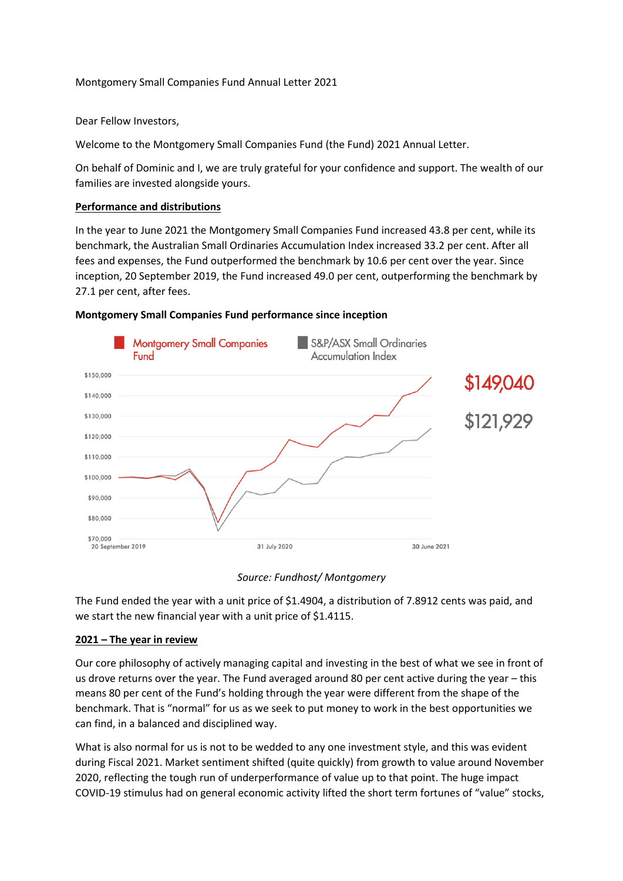Montgomery Small Companies Fund Annual Letter 2021

Dear Fellow Investors,

Welcome to the Montgomery Small Companies Fund (the Fund) 2021 Annual Letter.

On behalf of Dominic and I, we are truly grateful for your confidence and support. The wealth of our families are invested alongside yours.

# **Performance and distributions**

In the year to June 2021 the Montgomery Small Companies Fund increased 43.8 per cent, while its benchmark, the Australian Small Ordinaries Accumulation Index increased 33.2 per cent. After all fees and expenses, the Fund outperformed the benchmark by 10.6 per cent over the year. Since inception, 20 September 2019, the Fund increased 49.0 per cent, outperforming the benchmark by 27.1 per cent, after fees.



### **Montgomery Small Companies Fund performance since inception**

#### *Source: Fundhost/ Montgomery*

The Fund ended the year with a unit price of \$1.4904, a distribution of 7.8912 cents was paid, and we start the new financial year with a unit price of \$1.4115.

## **2021 – The year in review**

Our core philosophy of actively managing capital and investing in the best of what we see in front of us drove returns over the year. The Fund averaged around 80 per cent active during the year – this means 80 per cent of the Fund's holding through the year were different from the shape of the benchmark. That is "normal" for us as we seek to put money to work in the best opportunities we can find, in a balanced and disciplined way.

What is also normal for us is not to be wedded to any one investment style, and this was evident during Fiscal 2021. Market sentiment shifted (quite quickly) from growth to value around November 2020, reflecting the tough run of underperformance of value up to that point. The huge impact COVID-19 stimulus had on general economic activity lifted the short term fortunes of "value" stocks,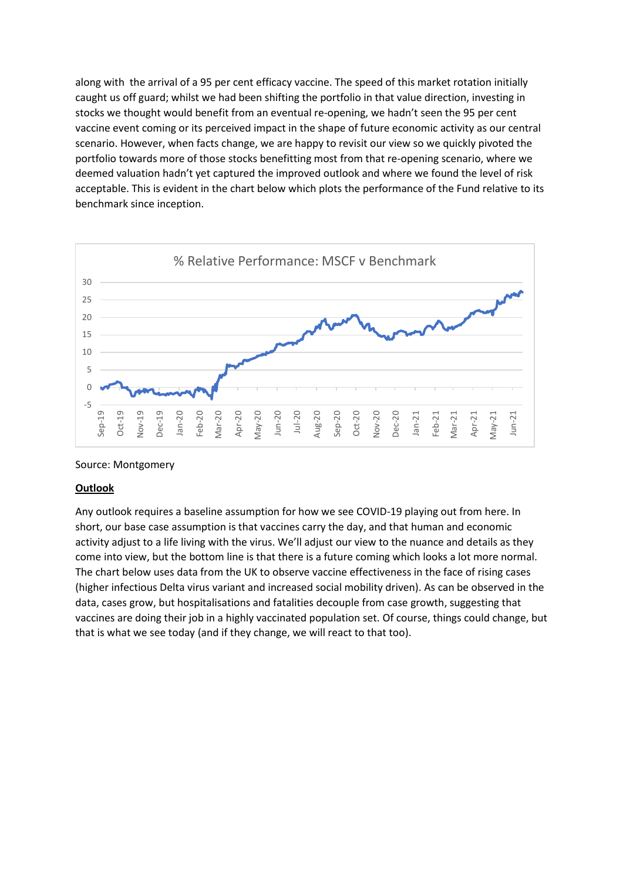along with the arrival of a 95 per cent efficacy vaccine. The speed of this market rotation initially caught us off guard; whilst we had been shifting the portfolio in that value direction, investing in stocks we thought would benefit from an eventual re-opening, we hadn't seen the 95 per cent vaccine event coming or its perceived impact in the shape of future economic activity as our central scenario. However, when facts change, we are happy to revisit our view so we quickly pivoted the portfolio towards more of those stocks benefitting most from that re-opening scenario, where we deemed valuation hadn't yet captured the improved outlook and where we found the level of risk acceptable. This is evident in the chart below which plots the performance of the Fund relative to its benchmark since inception.



#### Source: Montgomery

#### **Outlook**

Any outlook requires a baseline assumption for how we see COVID-19 playing out from here. In short, our base case assumption is that vaccines carry the day, and that human and economic activity adjust to a life living with the virus. We'll adjust our view to the nuance and details as they come into view, but the bottom line is that there is a future coming which looks a lot more normal. The chart below uses data from the UK to observe vaccine effectiveness in the face of rising cases (higher infectious Delta virus variant and increased social mobility driven). As can be observed in the data, cases grow, but hospitalisations and fatalities decouple from case growth, suggesting that vaccines are doing their job in a highly vaccinated population set. Of course, things could change, but that is what we see today (and if they change, we will react to that too).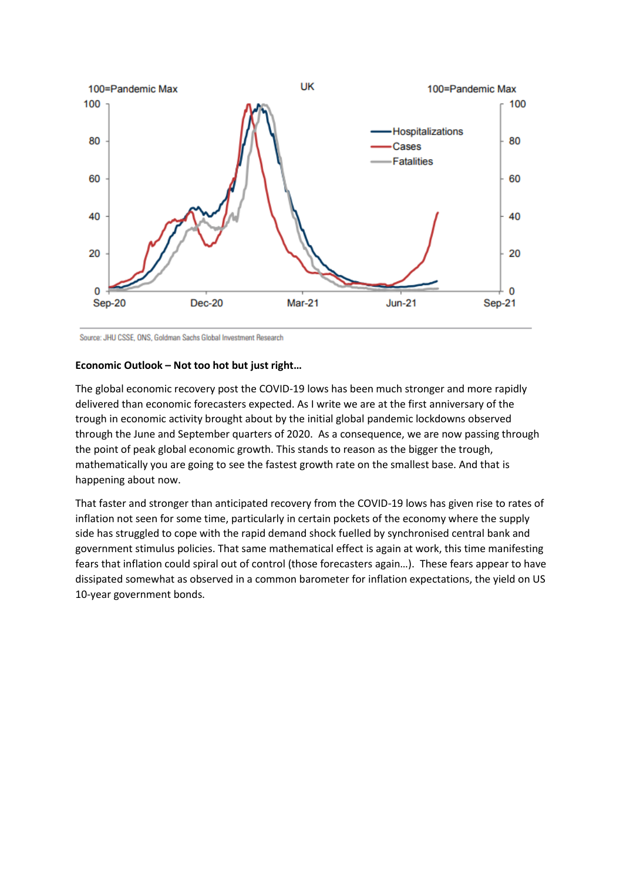

Source: JHU CSSE, ONS, Goldman Sachs Global Investment Research

## **Economic Outlook – Not too hot but just right…**

The global economic recovery post the COVID-19 lows has been much stronger and more rapidly delivered than economic forecasters expected. As I write we are at the first anniversary of the trough in economic activity brought about by the initial global pandemic lockdowns observed through the June and September quarters of 2020. As a consequence, we are now passing through the point of peak global economic growth. This stands to reason as the bigger the trough, mathematically you are going to see the fastest growth rate on the smallest base. And that is happening about now.

That faster and stronger than anticipated recovery from the COVID-19 lows has given rise to rates of inflation not seen for some time, particularly in certain pockets of the economy where the supply side has struggled to cope with the rapid demand shock fuelled by synchronised central bank and government stimulus policies. That same mathematical effect is again at work, this time manifesting fears that inflation could spiral out of control (those forecasters again…). These fears appear to have dissipated somewhat as observed in a common barometer for inflation expectations, the yield on US 10-year government bonds.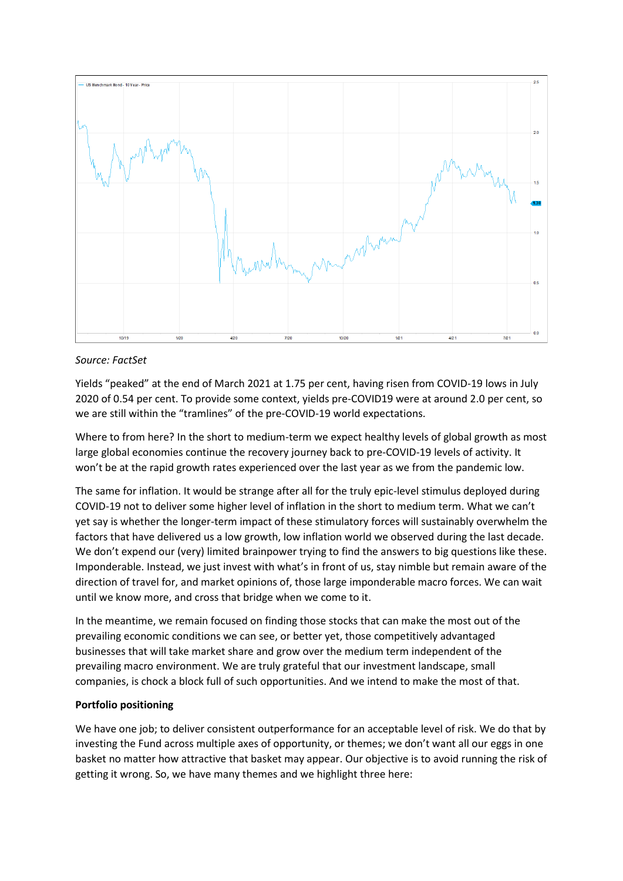

## *Source: FactSet*

Yields "peaked" at the end of March 2021 at 1.75 per cent, having risen from COVID-19 lows in July 2020 of 0.54 per cent. To provide some context, yields pre-COVID19 were at around 2.0 per cent, so we are still within the "tramlines" of the pre-COVID-19 world expectations.

Where to from here? In the short to medium-term we expect healthy levels of global growth as most large global economies continue the recovery journey back to pre-COVID-19 levels of activity. It won't be at the rapid growth rates experienced over the last year as we from the pandemic low.

The same for inflation. It would be strange after all for the truly epic-level stimulus deployed during COVID-19 not to deliver some higher level of inflation in the short to medium term. What we can't yet say is whether the longer-term impact of these stimulatory forces will sustainably overwhelm the factors that have delivered us a low growth, low inflation world we observed during the last decade. We don't expend our (very) limited brainpower trying to find the answers to big questions like these. Imponderable. Instead, we just invest with what's in front of us, stay nimble but remain aware of the direction of travel for, and market opinions of, those large imponderable macro forces. We can wait until we know more, and cross that bridge when we come to it.

In the meantime, we remain focused on finding those stocks that can make the most out of the prevailing economic conditions we can see, or better yet, those competitively advantaged businesses that will take market share and grow over the medium term independent of the prevailing macro environment. We are truly grateful that our investment landscape, small companies, is chock a block full of such opportunities. And we intend to make the most of that.

#### **Portfolio positioning**

We have one job; to deliver consistent outperformance for an acceptable level of risk. We do that by investing the Fund across multiple axes of opportunity, or themes; we don't want all our eggs in one basket no matter how attractive that basket may appear. Our objective is to avoid running the risk of getting it wrong. So, we have many themes and we highlight three here: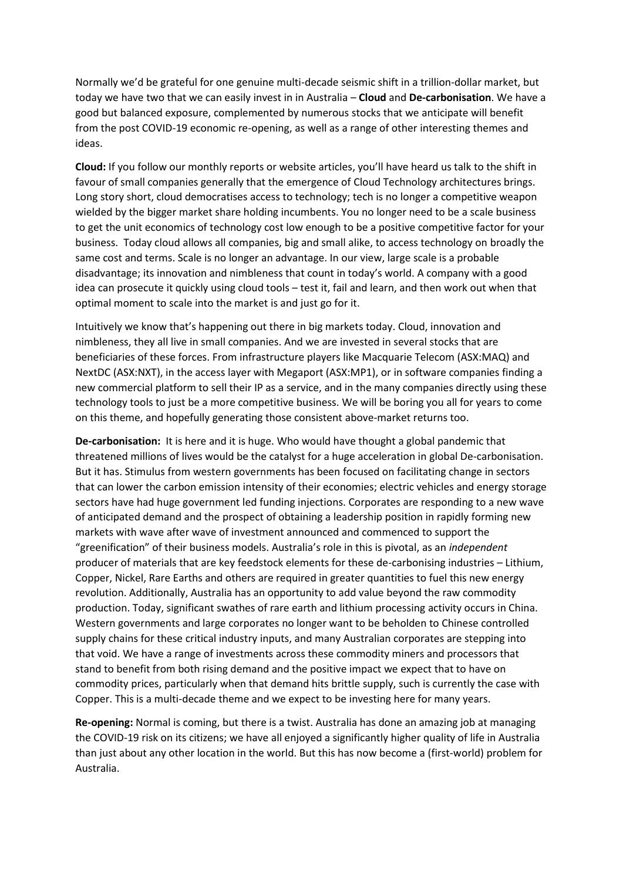Normally we'd be grateful for one genuine multi-decade seismic shift in a trillion-dollar market, but today we have two that we can easily invest in in Australia – **Cloud** and **De-carbonisation**. We have a good but balanced exposure, complemented by numerous stocks that we anticipate will benefit from the post COVID-19 economic re-opening, as well as a range of other interesting themes and ideas.

**Cloud:** If you follow our monthly reports or website articles, you'll have heard us talk to the shift in favour of small companies generally that the emergence of Cloud Technology architectures brings. Long story short, cloud democratises access to technology; tech is no longer a competitive weapon wielded by the bigger market share holding incumbents. You no longer need to be a scale business to get the unit economics of technology cost low enough to be a positive competitive factor for your business. Today cloud allows all companies, big and small alike, to access technology on broadly the same cost and terms. Scale is no longer an advantage. In our view, large scale is a probable disadvantage; its innovation and nimbleness that count in today's world. A company with a good idea can prosecute it quickly using cloud tools – test it, fail and learn, and then work out when that optimal moment to scale into the market is and just go for it.

Intuitively we know that's happening out there in big markets today. Cloud, innovation and nimbleness, they all live in small companies. And we are invested in several stocks that are beneficiaries of these forces. From infrastructure players like Macquarie Telecom (ASX:MAQ) and NextDC (ASX:NXT), in the access layer with Megaport (ASX:MP1), or in software companies finding a new commercial platform to sell their IP as a service, and in the many companies directly using these technology tools to just be a more competitive business. We will be boring you all for years to come on this theme, and hopefully generating those consistent above-market returns too.

**De-carbonisation:** It is here and it is huge. Who would have thought a global pandemic that threatened millions of lives would be the catalyst for a huge acceleration in global De-carbonisation. But it has. Stimulus from western governments has been focused on facilitating change in sectors that can lower the carbon emission intensity of their economies; electric vehicles and energy storage sectors have had huge government led funding injections. Corporates are responding to a new wave of anticipated demand and the prospect of obtaining a leadership position in rapidly forming new markets with wave after wave of investment announced and commenced to support the "greenification" of their business models. Australia's role in this is pivotal, as an *independent* producer of materials that are key feedstock elements for these de-carbonising industries – Lithium, Copper, Nickel, Rare Earths and others are required in greater quantities to fuel this new energy revolution. Additionally, Australia has an opportunity to add value beyond the raw commodity production. Today, significant swathes of rare earth and lithium processing activity occurs in China. Western governments and large corporates no longer want to be beholden to Chinese controlled supply chains for these critical industry inputs, and many Australian corporates are stepping into that void. We have a range of investments across these commodity miners and processors that stand to benefit from both rising demand and the positive impact we expect that to have on commodity prices, particularly when that demand hits brittle supply, such is currently the case with Copper. This is a multi-decade theme and we expect to be investing here for many years.

**Re-opening:** Normal is coming, but there is a twist. Australia has done an amazing job at managing the COVID-19 risk on its citizens; we have all enjoyed a significantly higher quality of life in Australia than just about any other location in the world. But this has now become a (first-world) problem for Australia.